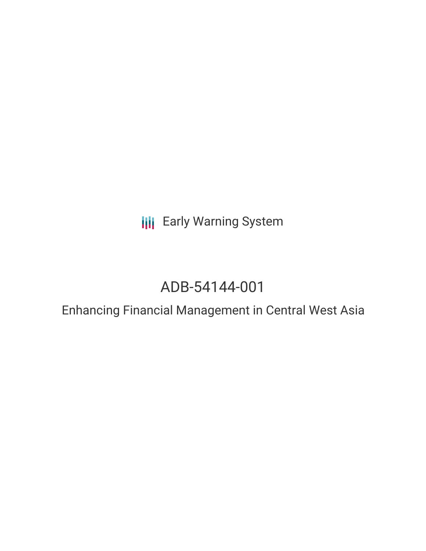**III** Early Warning System

# ADB-54144-001

Enhancing Financial Management in Central West Asia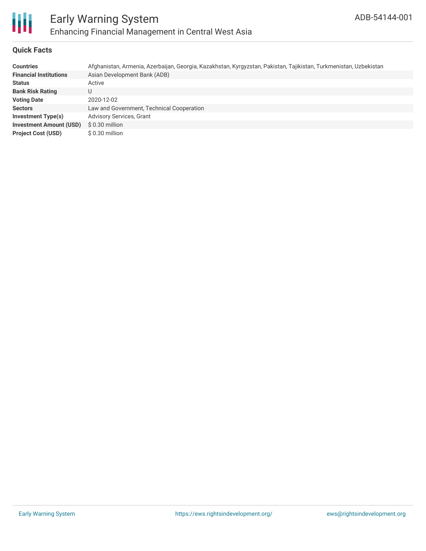

### **Quick Facts**

| <b>Countries</b>               | Afghanistan, Armenia, Azerbaijan, Georgia, Kazakhstan, Kyrgyzstan, Pakistan, Tajikistan, Turkmenistan, Uzbekistan |
|--------------------------------|-------------------------------------------------------------------------------------------------------------------|
| <b>Financial Institutions</b>  | Asian Development Bank (ADB)                                                                                      |
| <b>Status</b>                  | Active                                                                                                            |
| <b>Bank Risk Rating</b>        | U                                                                                                                 |
| <b>Voting Date</b>             | 2020-12-02                                                                                                        |
| <b>Sectors</b>                 | Law and Government, Technical Cooperation                                                                         |
| Investment Type(s)             | <b>Advisory Services, Grant</b>                                                                                   |
| <b>Investment Amount (USD)</b> | $$0.30$ million                                                                                                   |
| <b>Project Cost (USD)</b>      | \$0.30 million                                                                                                    |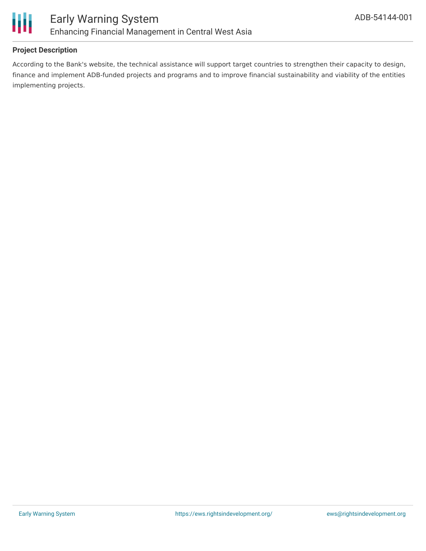

### **Project Description**

According to the Bank's website, the technical assistance will support target countries to strengthen their capacity to design, finance and implement ADB-funded projects and programs and to improve financial sustainability and viability of the entities implementing projects.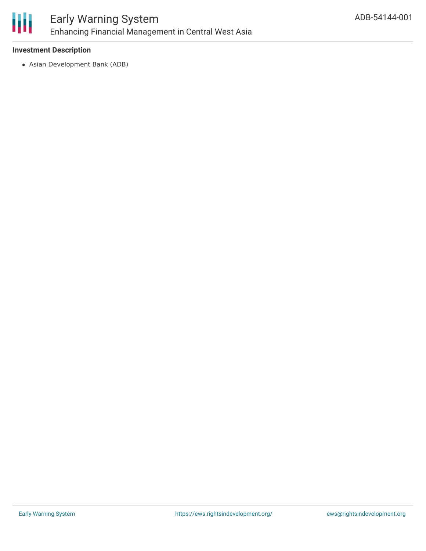

#### **Investment Description**

Asian Development Bank (ADB)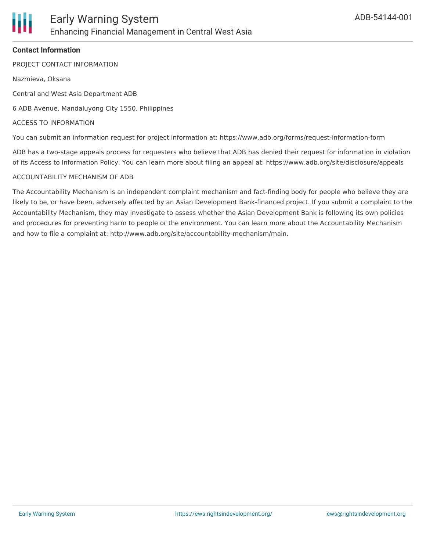#### **Contact Information**

PROJECT CONTACT INFORMATION

Nazmieva, Oksana

Central and West Asia Department ADB

6 ADB Avenue, Mandaluyong City 1550, Philippines

#### ACCESS TO INFORMATION

You can submit an information request for project information at: https://www.adb.org/forms/request-information-form

ADB has a two-stage appeals process for requesters who believe that ADB has denied their request for information in violation of its Access to Information Policy. You can learn more about filing an appeal at: https://www.adb.org/site/disclosure/appeals

#### ACCOUNTABILITY MECHANISM OF ADB

The Accountability Mechanism is an independent complaint mechanism and fact-finding body for people who believe they are likely to be, or have been, adversely affected by an Asian Development Bank-financed project. If you submit a complaint to the Accountability Mechanism, they may investigate to assess whether the Asian Development Bank is following its own policies and procedures for preventing harm to people or the environment. You can learn more about the Accountability Mechanism and how to file a complaint at: http://www.adb.org/site/accountability-mechanism/main.